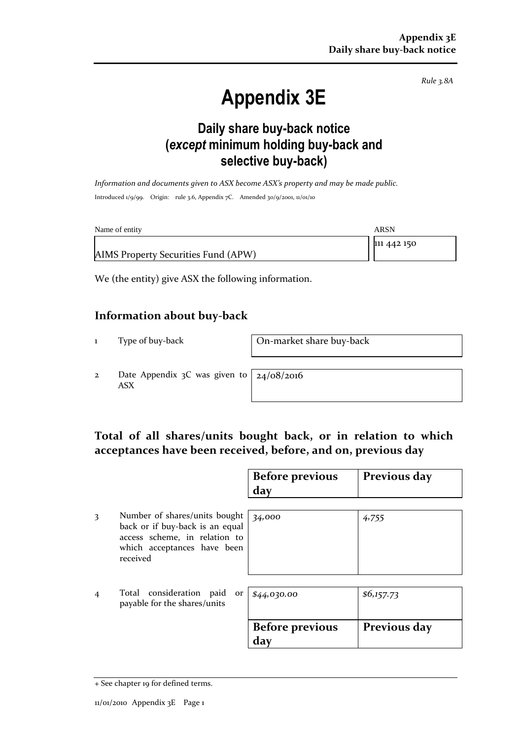*Rule 3.8A*

# **Appendix 3E**

### **Daily share buy-back notice (***except* **minimum holding buy-back and selective buy-back)**

*Information and documents given to ASX become ASX's property and may be made public.* Introduced 1/9/99. Origin: rule 3.6, Appendix 7C. Amended 30/9/2001, 11/01/10

| Name of entity                      | ARSN        |
|-------------------------------------|-------------|
|                                     | 111 442 150 |
| AIMS Property Securities Fund (APW) |             |

We (the entity) give ASX the following information.

#### **Information about buy-back**

1 Type of buy-back On-market share buy-back

2 Date Appendix 3C was given to ASX

24/08/2016

#### **Total of all shares/units bought back, or in relation to which acceptances have been received, before, and on, previous day**

|   |                                                                                                                                              | <b>Before previous</b><br>day | Previous day |
|---|----------------------------------------------------------------------------------------------------------------------------------------------|-------------------------------|--------------|
| 3 | Number of shares/units bought<br>back or if buy-back is an equal<br>access scheme, in relation to<br>which acceptances have been<br>received | 34,000                        | 4,755        |
| 4 | Total consideration<br>paid<br>or<br>payable for the shares/units                                                                            | \$44,030.00                   | \$6,157.73   |
|   |                                                                                                                                              | <b>Before previous</b><br>dav | Previous day |

<sup>+</sup> See chapter 19 for defined terms.